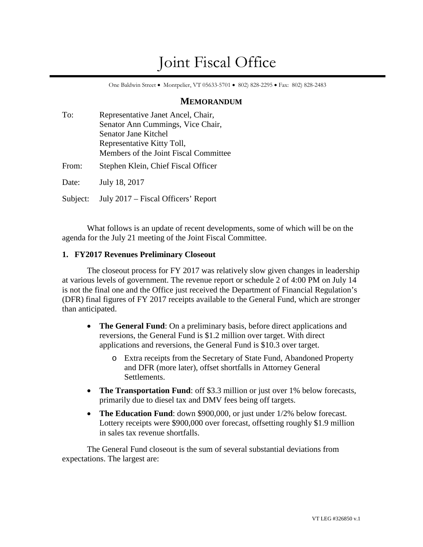# Joint Fiscal Office

One Baldwin Street • Montpelier, VT 05633-5701 • 802) 828-2295 • Fax: 802) 828-2483

## **MEMORANDUM**

| To:      | Representative Janet Ancel, Chair,    |
|----------|---------------------------------------|
|          | Senator Ann Cummings, Vice Chair,     |
|          | Senator Jane Kitchel                  |
|          | Representative Kitty Toll,            |
|          | Members of the Joint Fiscal Committee |
| From:    | Stephen Klein, Chief Fiscal Officer   |
| Date:    | July 18, 2017                         |
| Subject: | July 2017 – Fiscal Officers' Report   |

What follows is an update of recent developments, some of which will be on the agenda for the July 21 meeting of the Joint Fiscal Committee.

## **1. FY2017 Revenues Preliminary Closeout**

The closeout process for FY 2017 was relatively slow given changes in leadership at various levels of government. The revenue report or schedule 2 of 4:00 PM on July 14 is not the final one and the Office just received the Department of Financial Regulation's (DFR) final figures of FY 2017 receipts available to the General Fund, which are stronger than anticipated.

- **The General Fund**: On a preliminary basis, before direct applications and reversions, the General Fund is \$1.2 million over target. With direct applications and reversions, the General Fund is \$10.3 over target.
	- o Extra receipts from the Secretary of State Fund, Abandoned Property and DFR (more later), offset shortfalls in Attorney General Settlements.
- **The Transportation Fund**: off \$3.3 million or just over 1% below forecasts, primarily due to diesel tax and DMV fees being off targets.
- The Education Fund: down \$900,000, or just under 1/2% below forecast. Lottery receipts were \$900,000 over forecast, offsetting roughly \$1.9 million in sales tax revenue shortfalls.

The General Fund closeout is the sum of several substantial deviations from expectations. The largest are: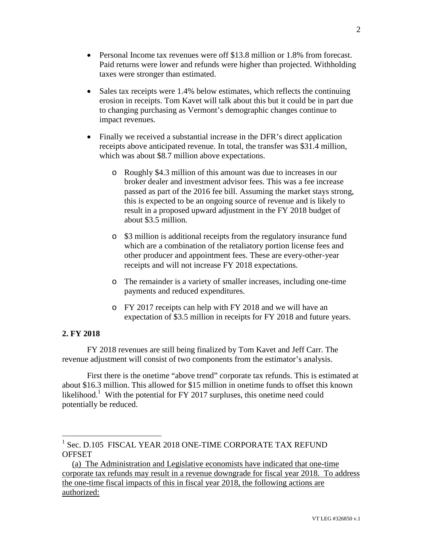- Personal Income tax revenues were off \$13.8 million or 1.8% from forecast. Paid returns were lower and refunds were higher than projected. Withholding taxes were stronger than estimated.
- Sales tax receipts were 1.4% below estimates, which reflects the continuing erosion in receipts. Tom Kavet will talk about this but it could be in part due to changing purchasing as Vermont's demographic changes continue to impact revenues.
- Finally we received a substantial increase in the DFR's direct application receipts above anticipated revenue. In total, the transfer was \$31.4 million, which was about \$8.7 million above expectations.
	- o Roughly \$4.3 million of this amount was due to increases in our broker dealer and investment advisor fees. This was a fee increase passed as part of the 2016 fee bill. Assuming the market stays strong, this is expected to be an ongoing source of revenue and is likely to result in a proposed upward adjustment in the FY 2018 budget of about \$3.5 million.
	- o \$3 million is additional receipts from the regulatory insurance fund which are a combination of the retaliatory portion license fees and other producer and appointment fees. These are every-other-year receipts and will not increase FY 2018 expectations.
	- o The remainder is a variety of smaller increases, including one-time payments and reduced expenditures.
	- o FY 2017 receipts can help with FY 2018 and we will have an expectation of \$3.5 million in receipts for FY 2018 and future years.

#### **2. FY 2018**

FY 2018 revenues are still being finalized by Tom Kavet and Jeff Carr. The revenue adjustment will consist of two components from the estimator's analysis.

First there is the onetime "above trend" corporate tax refunds. This is estimated at about \$16.3 million. This allowed for \$15 million in onetime funds to offset this known likelihood.<sup>[1](#page-1-0)</sup> With the potential for FY 2017 surpluses, this onetime need could potentially be reduced.

<span id="page-1-0"></span><sup>1</sup> Sec. D.105 FISCAL YEAR 2018 ONE-TIME CORPORATE TAX REFUND **OFFSET** 

<sup>(</sup>a) The Administration and Legislative economists have indicated that one-time corporate tax refunds may result in a revenue downgrade for fiscal year 2018. To address the one-time fiscal impacts of this in fiscal year 2018, the following actions are authorized: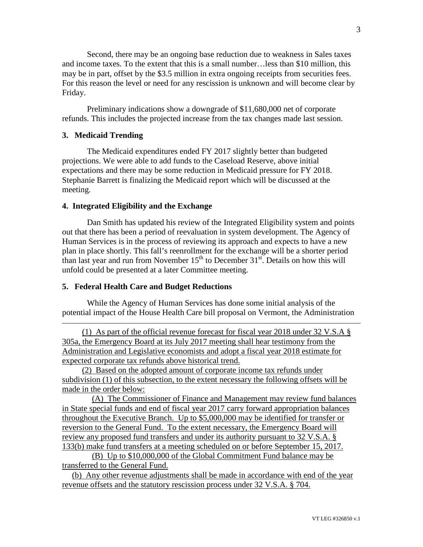Second, there may be an ongoing base reduction due to weakness in Sales taxes and income taxes. To the extent that this is a small number…less than \$10 million, this may be in part, offset by the \$3.5 million in extra ongoing receipts from securities fees. For this reason the level or need for any rescission is unknown and will become clear by Friday.

Preliminary indications show a downgrade of \$11,680,000 net of corporate refunds. This includes the projected increase from the tax changes made last session.

#### **3. Medicaid Trending**

The Medicaid expenditures ended FY 2017 slightly better than budgeted projections. We were able to add funds to the Caseload Reserve, above initial expectations and there may be some reduction in Medicaid pressure for FY 2018. Stephanie Barrett is finalizing the Medicaid report which will be discussed at the meeting.

#### **4. Integrated Eligibility and the Exchange**

Dan Smith has updated his review of the Integrated Eligibility system and points out that there has been a period of reevaluation in system development. The Agency of Human Services is in the process of reviewing its approach and expects to have a new plan in place shortly. This fall's reenrollment for the exchange will be a shorter period than last year and run from November  $15<sup>th</sup>$  to December  $31<sup>st</sup>$ . Details on how this will unfold could be presented at a later Committee meeting.

#### **5. Federal Health Care and Budget Reductions**

While the Agency of Human Services has done some initial analysis of the potential impact of the House Health Care bill proposal on Vermont, the Administration

(1) As part of the official revenue forecast for fiscal year 2018 under 32 V.S.A § 305a, the Emergency Board at its July 2017 meeting shall hear testimony from the Administration and Legislative economists and adopt a fiscal year 2018 estimate for expected corporate tax refunds above historical trend.

(2) Based on the adopted amount of corporate income tax refunds under subdivision (1) of this subsection, to the extent necessary the following offsets will be made in the order below:

(A) The Commissioner of Finance and Management may review fund balances in State special funds and end of fiscal year 2017 carry forward appropriation balances throughout the Executive Branch. Up to \$5,000,000 may be identified for transfer or reversion to the General Fund. To the extent necessary, the Emergency Board will review any proposed fund transfers and under its authority pursuant to 32 V.S.A. § 133(b) make fund transfers at a meeting scheduled on or before September 15, 2017.

(B) Up to \$10,000,000 of the Global Commitment Fund balance may be transferred to the General Fund.

(b) Any other revenue adjustments shall be made in accordance with end of the year revenue offsets and the statutory rescission process under 32 V.S.A. § 704.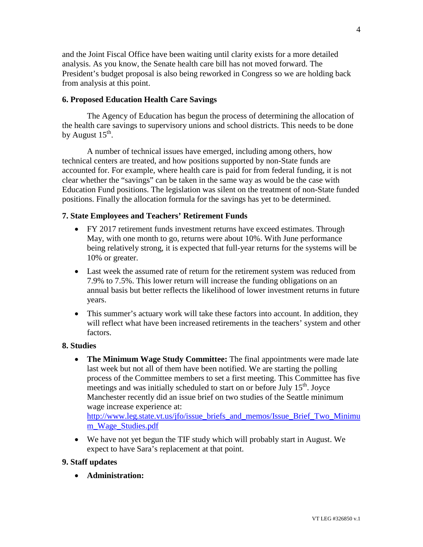and the Joint Fiscal Office have been waiting until clarity exists for a more detailed analysis. As you know, the Senate health care bill has not moved forward. The President's budget proposal is also being reworked in Congress so we are holding back from analysis at this point.

#### **6. Proposed Education Health Care Savings**

The Agency of Education has begun the process of determining the allocation of the health care savings to supervisory unions and school districts. This needs to be done by August  $15^{\text{th}}$ .

A number of technical issues have emerged, including among others, how technical centers are treated, and how positions supported by non-State funds are accounted for. For example, where health care is paid for from federal funding, it is not clear whether the "savings" can be taken in the same way as would be the case with Education Fund positions. The legislation was silent on the treatment of non-State funded positions. Finally the allocation formula for the savings has yet to be determined.

#### **7. State Employees and Teachers' Retirement Funds**

- FY 2017 retirement funds investment returns have exceed estimates. Through May, with one month to go, returns were about 10%. With June performance being relatively strong, it is expected that full-year returns for the systems will be 10% or greater.
- Last week the assumed rate of return for the retirement system was reduced from 7.9% to 7.5%. This lower return will increase the funding obligations on an annual basis but better reflects the likelihood of lower investment returns in future years.
- This summer's actuary work will take these factors into account. In addition, they will reflect what have been increased retirements in the teachers' system and other factors.

#### **8. Studies**

- **The Minimum Wage Study Committee:** The final appointments were made late last week but not all of them have been notified. We are starting the polling process of the Committee members to set a first meeting. This Committee has five meetings and was initially scheduled to start on or before July  $15<sup>th</sup>$ . Joyce Manchester recently did an issue brief on two studies of the Seattle minimum wage increase experience at: [http://www.leg.state.vt.us/jfo/issue\\_briefs\\_and\\_memos/Issue\\_Brief\\_Two\\_Minimu](http://www.leg.state.vt.us/jfo/issue_briefs_and_memos/Issue_Brief_Two_Minimum_Wage_Studies.pdf) [m\\_Wage\\_Studies.pdf](http://www.leg.state.vt.us/jfo/issue_briefs_and_memos/Issue_Brief_Two_Minimum_Wage_Studies.pdf)
- We have not yet begun the TIF study which will probably start in August. We expect to have Sara's replacement at that point.

#### **9. Staff updates**

**Administration:**